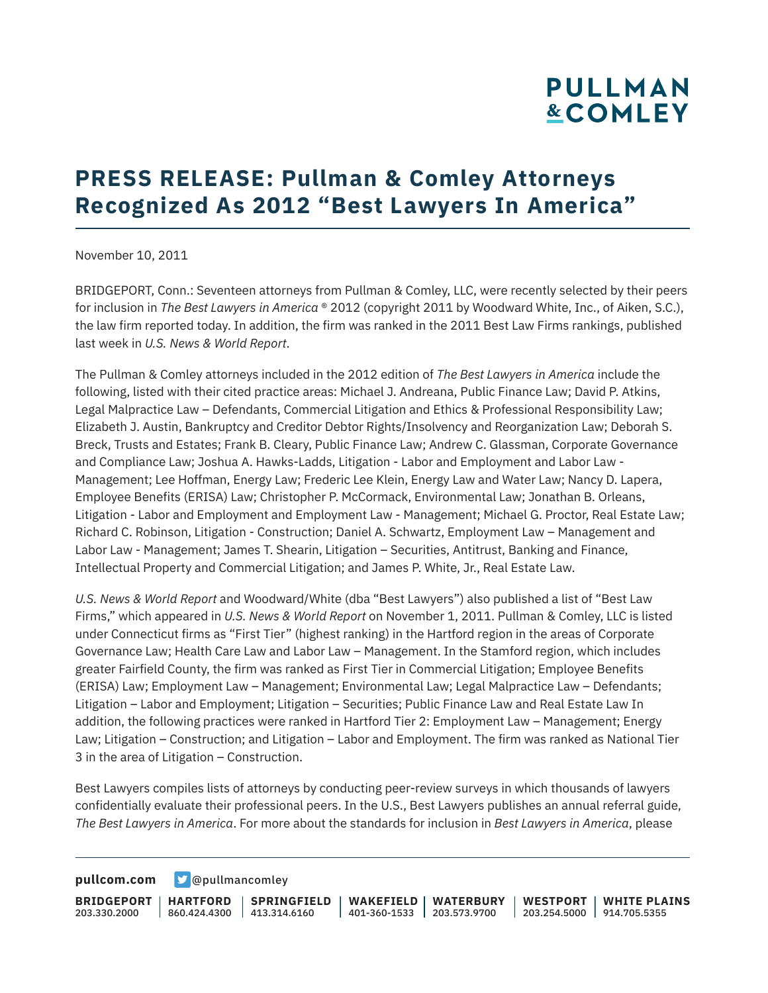# **PULLMAN &COMLEY**

## **PRESS RELEASE: Pullman & Comley Attorneys Recognized As 2012 "Best Lawyers In America"**

November 10, 2011

BRIDGEPORT, Conn.: Seventeen attorneys from Pullman & Comley, LLC, were recently selected by their peers for inclusion in *The Best Lawyers in America* ® 2012 (copyright 2011 by Woodward White, Inc., of Aiken, S.C.), the law firm reported today. In addition, the firm was ranked in the 2011 Best Law Firms rankings, published last week in *U.S. News & World Report*.

The Pullman & Comley attorneys included in the 2012 edition of *The Best Lawyers in America* include the following, listed with their cited practice areas: Michael J. Andreana, Public Finance Law; David P. Atkins, Legal Malpractice Law – Defendants, Commercial Litigation and Ethics & Professional Responsibility Law; Elizabeth J. Austin, Bankruptcy and Creditor Debtor Rights/Insolvency and Reorganization Law; Deborah S. Breck, Trusts and Estates; Frank B. Cleary, Public Finance Law; Andrew C. Glassman, Corporate Governance and Compliance Law; Joshua A. Hawks-Ladds, Litigation - Labor and Employment and Labor Law - Management; Lee Hoffman, Energy Law; Frederic Lee Klein, Energy Law and Water Law; Nancy D. Lapera, Employee Benefits (ERISA) Law; Christopher P. McCormack, Environmental Law; Jonathan B. Orleans, Litigation - Labor and Employment and Employment Law - Management; Michael G. Proctor, Real Estate Law; Richard C. Robinson, Litigation - Construction; Daniel A. Schwartz, Employment Law – Management and Labor Law - Management; James T. Shearin, Litigation – Securities, Antitrust, Banking and Finance, Intellectual Property and Commercial Litigation; and James P. White, Jr., Real Estate Law.

*U.S. News & World Report* and Woodward/White (dba "Best Lawyers") also published a list of "Best Law Firms," which appeared in *U.S. News & World Report* on November 1, 2011. Pullman & Comley, LLC is listed under Connecticut firms as "First Tier" (highest ranking) in the Hartford region in the areas of Corporate Governance Law; Health Care Law and Labor Law – Management. In the Stamford region, which includes greater Fairfield County, the firm was ranked as First Tier in Commercial Litigation; Employee Benefits (ERISA) Law; Employment Law – Management; Environmental Law; Legal Malpractice Law – Defendants; Litigation – Labor and Employment; Litigation – Securities; Public Finance Law and Real Estate Law In addition, the following practices were ranked in Hartford Tier 2: Employment Law – Management; Energy Law; Litigation – Construction; and Litigation – Labor and Employment. The firm was ranked as National Tier 3 in the area of Litigation – Construction.

Best Lawyers compiles lists of attorneys by conducting peer-review surveys in which thousands of lawyers confidentially evaluate their professional peers. In the U.S., Best Lawyers publishes an annual referral guide, *The Best Lawyers in America*. For more about the standards for inclusion in *Best Lawyers in America*, please

**[pullcom.com](https://www.pullcom.com) g** [@pullmancomley](https://twitter.com/PullmanComley)

**BRIDGEPORT** 203.330.2000 **HARTFORD** 860.424.4300 413.314.6160 **SPRINGFIELD WAKEFIELD WATERBURY** 401-360-1533 203.573.9700 **WESTPORT WHITE PLAINS** 203.254.5000 914.705.5355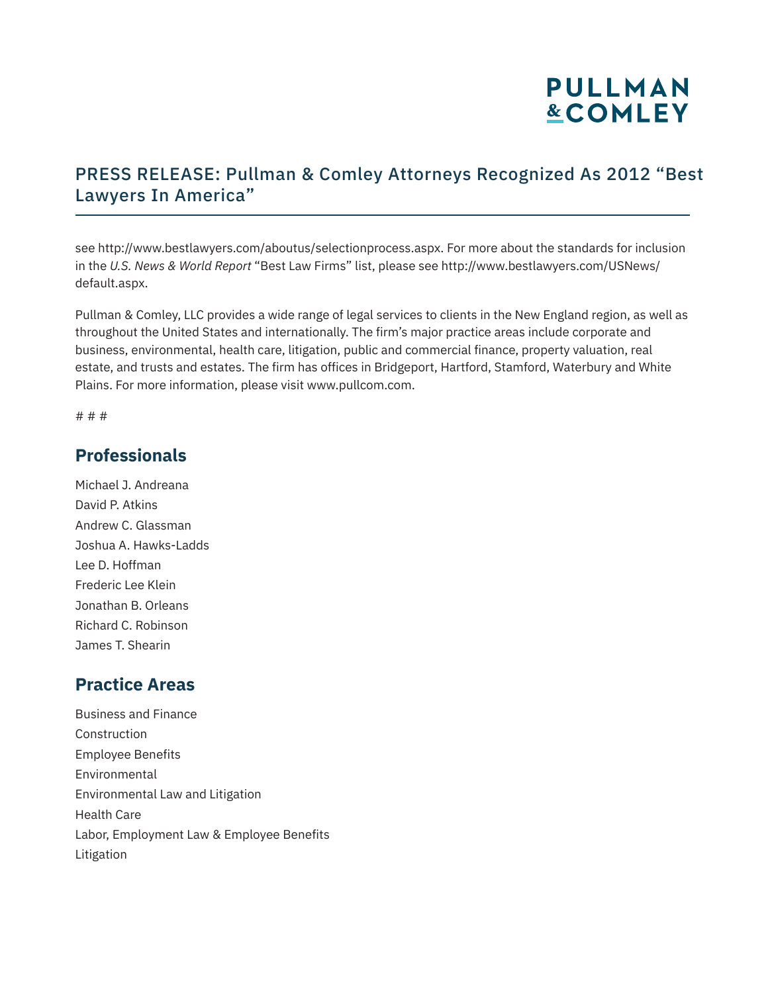# **PULLMAN &COMLEY**

### PRESS RELEASE: Pullman & Comley Attorneys Recognized As 2012 "Best Lawyers In America"

see http://www.bestlawyers.com/aboutus/selectionprocess.aspx. For more about the standards for inclusion in the *U.S. News & World Report* "Best Law Firms" list, please see http://www.bestlawyers.com/USNews/ default.aspx.

Pullman & Comley, LLC provides a wide range of legal services to clients in the New England region, as well as throughout the United States and internationally. The firm's major practice areas include corporate and business, environmental, health care, litigation, public and commercial finance, property valuation, real estate, and trusts and estates. The firm has offices in Bridgeport, Hartford, Stamford, Waterbury and White Plains. For more information, please visit www.pullcom.com.

# # #

#### **Professionals**

Michael J. Andreana David P. Atkins Andrew C. Glassman Joshua A. Hawks-Ladds Lee D. Hoffman Frederic Lee Klein Jonathan B. Orleans Richard C. Robinson James T. Shearin

#### **Practice Areas**

Business and Finance Construction Employee Benefits Environmental Environmental Law and Litigation Health Care Labor, Employment Law & Employee Benefits Litigation